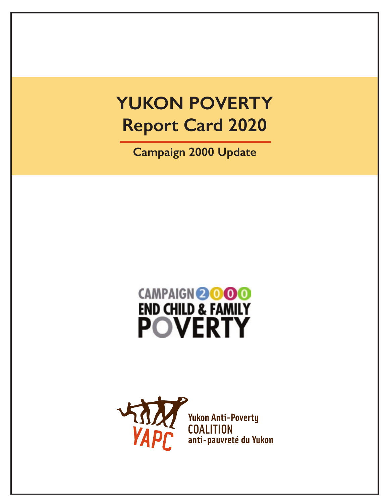# **YUKON POVERTY Report Card 2020**

**Campaign 2000 Update**

# CAMPAIGN@000 END CHILD & FAMILY

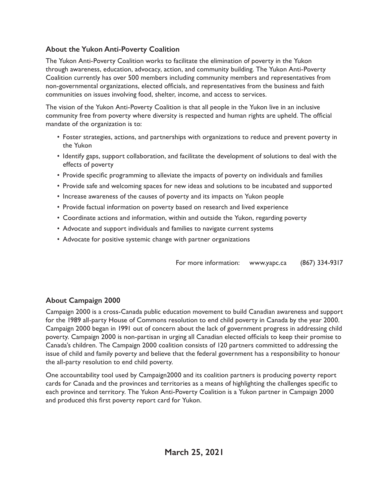#### **About the Yukon Anti-Poverty Coalition**

The Yukon Anti-Poverty Coalition works to facilitate the elimination of poverty in the Yukon through awareness, education, advocacy, action, and community building. The Yukon Anti-Poverty Coalition currently has over 500 members including community members and representatives from non-governmental organizations, elected officials, and representatives from the business and faith communities on issues involving food, shelter, income, and access to services.

The vision of the Yukon Anti-Poverty Coalition is that all people in the Yukon live in an inclusive community free from poverty where diversity is respected and human rights are upheld. The official mandate of the organization is to:

- Foster strategies, actions, and partnerships with organizations to reduce and prevent poverty in the Yukon
- Identify gaps, support collaboration, and facilitate the development of solutions to deal with the effects of poverty
- Provide specific programming to alleviate the impacts of poverty on individuals and families
- Provide safe and welcoming spaces for new ideas and solutions to be incubated and supported
- Increase awareness of the causes of poverty and its impacts on Yukon people
- Provide factual information on poverty based on research and lived experience
- Coordinate actions and information, within and outside the Yukon, regarding poverty
- Advocate and support individuals and families to navigate current systems
- Advocate for positive systemic change with partner organizations

For more information: www.yapc.ca (867) 334-9317

#### **About Campaign 2000**

Campaign 2000 is a cross-Canada public education movement to build Canadian awareness and support for the 1989 all-party House of Commons resolution to end child poverty in Canada by the year 2000. Campaign 2000 began in 1991 out of concern about the lack of government progress in addressing child poverty. Campaign 2000 is non-partisan in urging all Canadian elected officials to keep their promise to Canada's children. The Campaign 2000 coalition consists of 120 partners committed to addressing the issue of child and family poverty and believe that the federal government has a responsibility to honour the all-party resolution to end child poverty.

One accountability tool used by Campaign2000 and its coalition partners is producing poverty report cards for Canada and the provinces and territories as a means of highlighting the challenges specific to each province and territory. The Yukon Anti-Poverty Coalition is a Yukon partner in Campaign 2000 and produced this first poverty report card for Yukon.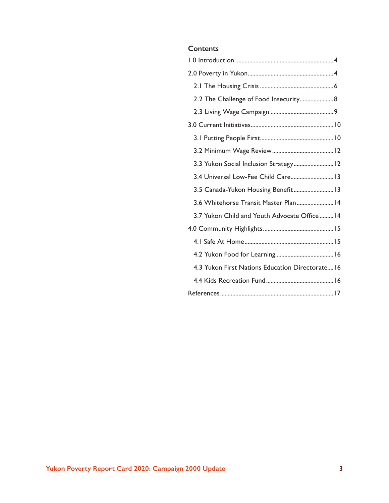#### **Contents**

| 2.2 The Challenge of Food Insecurity 8           |
|--------------------------------------------------|
|                                                  |
|                                                  |
|                                                  |
|                                                  |
| 3.3 Yukon Social Inclusion Strategy 12           |
| 3.4 Universal Low-Fee Child Care 13              |
| 3.5 Canada-Yukon Housing Benefit 13              |
| 3.6 Whitehorse Transit Master Plan 14            |
| 3.7 Yukon Child and Youth Advocate Office  14    |
|                                                  |
|                                                  |
|                                                  |
| 4.3 Yukon First Nations Education Directorate 16 |
|                                                  |
|                                                  |
|                                                  |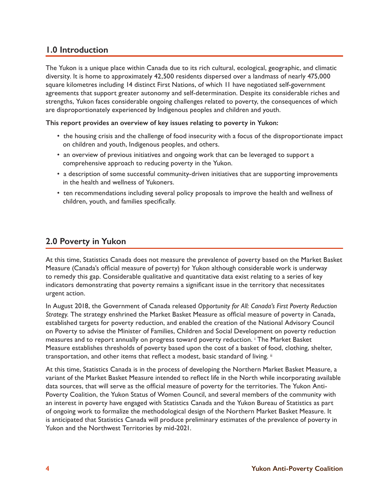#### **1.0 Introduction**

The Yukon is a unique place within Canada due to its rich cultural, ecological, geographic, and climatic diversity. It is home to approximately 42,500 residents dispersed over a landmass of nearly 475,000 square kilometres including 14 distinct First Nations, of which 11 have negotiated self-government agreements that support greater autonomy and self-determination. Despite its considerable riches and strengths, Yukon faces considerable ongoing challenges related to poverty, the consequences of which are disproportionately experienced by Indigenous peoples and children and youth.

#### **This report provides an overview of key issues relating to poverty in Yukon:**

- the housing crisis and the challenge of food insecurity with a focus of the disproportionate impact on children and youth, Indigenous peoples, and others.
- an overview of previous initiatives and ongoing work that can be leveraged to support a comprehensive approach to reducing poverty in the Yukon.
- a description of some successful community-driven initiatives that are supporting improvements in the health and wellness of Yukoners.
- ten recommendations including several policy proposals to improve the health and wellness of children, youth, and families specifically.

#### **2.0 Poverty in Yukon**

At this time, Statistics Canada does not measure the prevalence of poverty based on the Market Basket Measure (Canada's official measure of poverty) for Yukon although considerable work is underway to remedy this gap. Considerable qualitative and quantitative data exist relating to a series of key indicators demonstrating that poverty remains a significant issue in the territory that necessitates urgent action.

In August 2018, the Government of Canada released *Opportunity for All: Canada's First Poverty Reduction Strategy.* The strategy enshrined the Market Basket Measure as official measure of poverty in Canada, established targets for poverty reduction, and enabled the creation of the National Advisory Council on Poverty to advise the Minister of Families, Children and Social Development on poverty reduction measures and to report annually on progress toward poverty reduction. i The Market Basket Measure establishes thresholds of poverty based upon the cost of a basket of food, clothing, shelter, transportation, and other items that reflect a modest, basic standard of living. ii

At this time, Statistics Canada is in the process of developing the Northern Market Basket Measure, a variant of the Market Basket Measure intended to reflect life in the North while incorporating available data sources, that will serve as the official measure of poverty for the territories. The Yukon Anti-Poverty Coalition, the Yukon Status of Women Council, and several members of the community with an interest in poverty have engaged with Statistics Canada and the Yukon Bureau of Statistics as part of ongoing work to formalize the methodological design of the Northern Market Basket Measure. It is anticipated that Statistics Canada will produce preliminary estimates of the prevalence of poverty in Yukon and the Northwest Territories by mid-2021.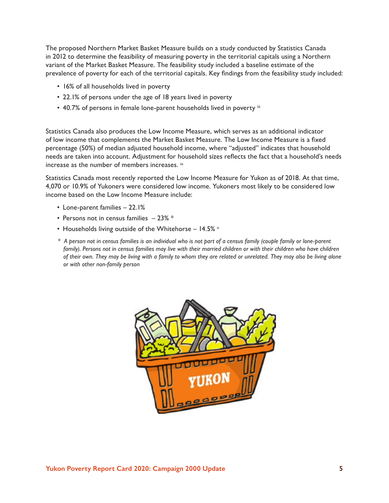The proposed Northern Market Basket Measure builds on a study conducted by Statistics Canada in 2012 to determine the feasibility of measuring poverty in the territorial capitals using a Northern variant of the Market Basket Measure. The feasibility study included a baseline estimate of the prevalence of poverty for each of the territorial capitals. Key findings from the feasibility study included:

- 16% of all households lived in poverty
- 22.1% of persons under the age of 18 years lived in poverty
- 40.7% of persons in female lone-parent households lived in poverty iii

Statistics Canada also produces the Low Income Measure, which serves as an additional indicator of low income that complements the Market Basket Measure. The Low Income Measure is a fixed percentage (50%) of median adjusted household income, where "adjusted" indicates that household needs are taken into account. Adjustment for household sizes reflects the fact that a household's needs increase as the number of members increases. iv

Statistics Canada most recently reported the Low Income Measure for Yukon as of 2018. At that time, 4,070 or 10.9% of Yukoners were considered low income. Yukoners most likely to be considered low income based on the Low Income Measure include:

- Lone-parent families 22.1%
- Persons not in census families  $-23\%$  \*
- Households living outside of the Whitehorse 14.5% v
- *\* A person not in census families is an individual who is not part of a census family (couple family or lone-parent*  family). Persons not in census families may live with their married children or with their children who have children *of their own. They may be living with a family to whom they are related or unrelated. They may also be living alone or with other non-family person*

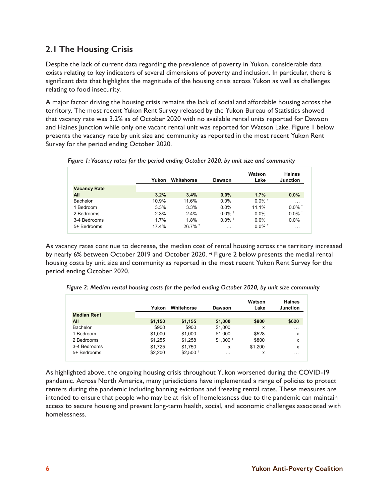## **2.1 The Housing Crisis**

Despite the lack of current data regarding the prevalence of poverty in Yukon, considerable data exists relating to key indicators of several dimensions of poverty and inclusion. In particular, there is significant data that highlights the magnitude of the housing crisis across Yukon as well as challenges relating to food insecurity.

A major factor driving the housing crisis remains the lack of social and affordable housing across the territory. The most recent Yukon Rent Survey released by the Yukon Bureau of Statistics showed that vacancy rate was 3.2% as of October 2020 with no available rental units reported for Dawson and Haines Junction while only one vacant rental unit was reported for Watson Lake. Figure 1 below presents the vacancy rate by unit size and community as reported in the most recent Yukon Rent Survey for the period ending October 2020.

|                     | Yukon | Whitehorse            | Dawson               | Watson<br>Lake       | <b>Haines</b><br>Junction |
|---------------------|-------|-----------------------|----------------------|----------------------|---------------------------|
| <b>Vacancy Rate</b> |       |                       |                      |                      |                           |
| All                 | 3.2%  | 3.4%                  | $0.0\%$              | 1.7%                 | 0.0%                      |
| Bachelor            | 10.9% | 11.6%                 | 0.0%                 | $0.0\%$ <sup>+</sup> | $\cdots$                  |
| 1 Bedroom           | 3.3%  | 3.3%                  | 0.0%                 | 11.1%                | $0.0\%$ <sup>+</sup>      |
| 2 Bedrooms          | 2.3%  | 2.4%                  | $0.0\%$ <sup>+</sup> | $0.0\%$              | $0.0\%$ <sup>+</sup>      |
| 3-4 Bedrooms        | 1.7%  | 1.8%                  | $0.0\%$ <sup>+</sup> | $0.0\%$              | $0.0\%$ <sup>+</sup>      |
| 5+ Bedrooms         | 17.4% | $26.7\%$ <sup>+</sup> | $\cdots$             | $0.0\%$ <sup>+</sup> | $\cdots$                  |

*Figure 1: Vacancy rates for the period ending October 2020, by unit size and community*

As vacancy rates continue to decrease, the median cost of rental housing across the territory increased by nearly 6% between October 2019 and October 2020. vi Figure 2 below presents the medial rental housing costs by unit size and community as reported in the most recent Yukon Rent Survey for the period ending October 2020.

| Figure 2: Median rental housing costs for the period ending October 2020, by unit size community |  |  |  |  |  |
|--------------------------------------------------------------------------------------------------|--|--|--|--|--|
|--------------------------------------------------------------------------------------------------|--|--|--|--|--|

|                    | Yukon   | Whitehorse            | Dawson                | Watson<br>Lake | Haines<br>Junction |
|--------------------|---------|-----------------------|-----------------------|----------------|--------------------|
| <b>Median Rent</b> |         |                       |                       |                |                    |
| All                | \$1,150 | \$1,155               | \$1,000               | \$800          | \$620              |
| Bachelor           | \$900   | \$900                 | \$1,000               | x              | $\cdots$           |
| 1 Bedroom          | \$1,000 | \$1,000               | \$1,000               | \$528          | x                  |
| 2 Bedrooms         | \$1,255 | \$1,258               | $$1,300$ <sup>+</sup> | \$800          | x                  |
| 3-4 Bedrooms       | \$1,725 | \$1.750               | x                     | \$1,200        | x                  |
| 5+ Bedrooms        | \$2,200 | $$2,500$ <sup>+</sup> | $\cdots$              | x              | $\cdots$           |

As highlighted above, the ongoing housing crisis throughout Yukon worsened during the COVID-19 pandemic. Across North America, many jurisdictions have implemented a range of policies to protect renters during the pandemic including banning evictions and freezing rental rates. These measures are intended to ensure that people who may be at risk of homelessness due to the pandemic can maintain access to secure housing and prevent long-term health, social, and economic challenges associated with homelessness.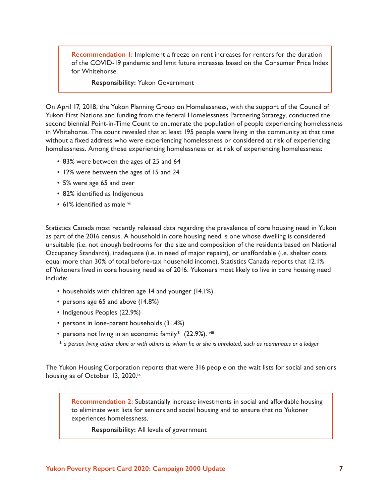**Recommendation 1:** Implement a freeze on rent increases for renters for the duration of the COVID-19 pandemic and limit future increases based on the Consumer Price Index for Whitehorse.

**Responsibility:** Yukon Government

On April 17, 2018, the Yukon Planning Group on Homelessness, with the support of the Council of Yukon First Nations and funding from the federal Homelessness Partnering Strategy, conducted the second biennial Point-in-Time Count to enumerate the population of people experiencing homelessness in Whitehorse. The count revealed that at least 195 people were living in the community at that time without a fixed address who were experiencing homelessness or considered at risk of experiencing homelessness. Among those experiencing homelessness or at risk of experiencing homelessness:

- 83% were between the ages of 25 and 64
- 12% were between the ages of 15 and 24
- 5% were age 65 and over
- 82% identified as Indigenous
- 61% identified as male vii

Statistics Canada most recently released data regarding the prevalence of core housing need in Yukon as part of the 2016 census. A household in core housing need is one whose dwelling is considered unsuitable (i.e. not enough bedrooms for the size and composition of the residents based on National Occupancy Standards), inadequate (i.e. in need of major repairs), or unaffordable (i.e. shelter costs equal more than 30% of total before-tax household income). Statistics Canada reports that 12.1% of Yukoners lived in core housing need as of 2016. Yukoners most likely to live in core housing need include:

- households with children age 14 and younger (14.1%)
- persons age 65 and above (14.8%)
- Indigenous Peoples (22.9%)
- persons in lone-parent households (31.4%)
- persons not living in an economic family\* (22.9%). viii
- *\* a person living either alone or with others to whom he or she is unrelated, such as roommates or a lodger*

The Yukon Housing Corporation reports that were 316 people on the wait lists for social and seniors housing as of October 13, 2020.<sup>ix</sup>

**Recommendation 2:** Substantially increase investments in social and affordable housing to eliminate wait lists for seniors and social housing and to ensure that no Yukoner experiences homelessness.

**Responsibility:** All levels of government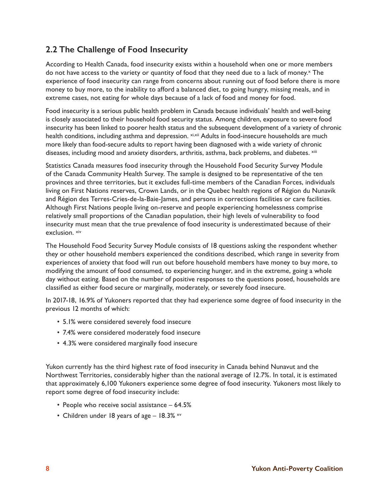## **2.2 The Challenge of Food Insecurity**

According to Health Canada, food insecurity exists within a household when one or more members do not have access to the variety or quantity of food that they need due to a lack of money.<sup>x</sup> The experience of food insecurity can range from concerns about running out of food before there is more money to buy more, to the inability to afford a balanced diet, to going hungry, missing meals, and in extreme cases, not eating for whole days because of a lack of food and money for food.

Food insecurity is a serious public health problem in Canada because individuals' health and well-being is closely associated to their household food security status. Among children, exposure to severe food insecurity has been linked to poorer health status and the subsequent development of a variety of chronic health conditions, including asthma and depression. xi,xii Adults in food-insecure households are much more likely than food-secure adults to report having been diagnosed with a wide variety of chronic diseases, including mood and anxiety disorders, arthritis, asthma, back problems, and diabetes. xiii

Statistics Canada measures food insecurity through the Household Food Security Survey Module of the Canada Community Health Survey. The sample is designed to be representative of the ten provinces and three territories, but it excludes full-time members of the Canadian Forces, individuals living on First Nations reserves, Crown Lands, or in the Quebec health regions of Région du Nunavik and Région des Terres-Cries-de-la-Baie-James, and persons in corrections facilities or care facilities. Although First Nations people living on-reserve and people experiencing homelessness comprise relatively small proportions of the Canadian population, their high levels of vulnerability to food insecurity must mean that the true prevalence of food insecurity is underestimated because of their exclusion. xiv

The Household Food Security Survey Module consists of 18 questions asking the respondent whether they or other household members experienced the conditions described, which range in severity from experiences of anxiety that food will run out before household members have money to buy more, to modifying the amount of food consumed, to experiencing hunger, and in the extreme, going a whole day without eating. Based on the number of positive responses to the questions posed, households are classified as either food secure or marginally, moderately, or severely food insecure.

In 2017-18, 16.9% of Yukoners reported that they had experience some degree of food insecurity in the previous 12 months of which:

- 5.1% were considered severely food insecure
- 7.4% were considered moderately food insecure
- 4.3% were considered marginally food insecure

Yukon currently has the third highest rate of food insecurity in Canada behind Nunavut and the Northwest Territories, considerably higher than the national average of 12.7%. In total, it is estimated that approximately 6,100 Yukoners experience some degree of food insecurity. Yukoners most likely to report some degree of food insecurity include:

- People who receive social assistance 64.5%
- Children under 18 years of age  $-$  18.3%  $\times$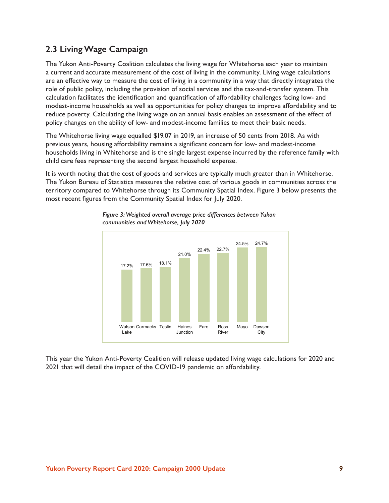#### **2.3 Living Wage Campaign**

The Yukon Anti-Poverty Coalition calculates the living wage for Whitehorse each year to maintain a current and accurate measurement of the cost of living in the community. Living wage calculations are an effective way to measure the cost of living in a community in a way that directly integrates the role of public policy, including the provision of social services and the tax-and-transfer system. This calculation facilitates the identification and quantification of affordability challenges facing low- and modest-income households as well as opportunities for policy changes to improve affordability and to reduce poverty. Calculating the living wage on an annual basis enables an assessment of the effect of policy changes on the ability of low- and modest-income families to meet their basic needs.

The Whitehorse living wage equalled \$19.07 in 2019, an increase of 50 cents from 2018. As with previous years, housing affordability remains a significant concern for low- and modest-income households living in Whitehorse and is the single largest expense incurred by the reference family with child care fees representing the second largest household expense.

It is worth noting that the cost of goods and services are typically much greater than in Whitehorse. The Yukon Bureau of Statistics measures the relative cost of various goods in communities across the territory compared to Whitehorse through its Community Spatial Index. Figure 3 below presents the most recent figures from the Community Spatial Index for July 2020.



*Figure 3: Weighted overall average price differences between Yukon communities and Whitehorse, July 2020*

This year the Yukon Anti-Poverty Coalition will release updated living wage calculations for 2020 and 2021 that will detail the impact of the COVID-19 pandemic on affordability.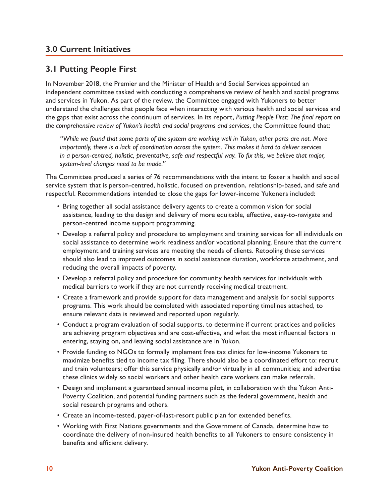#### **3.0 Current Initiatives**

#### **3.1 Putting People First**

In November 2018, the Premier and the Minister of Health and Social Services appointed an independent committee tasked with conducting a comprehensive review of health and social programs and services in Yukon. As part of the review, the Committee engaged with Yukoners to better understand the challenges that people face when interacting with various health and social services and the gaps that exist across the continuum of services. In its report, *Putting People First: The final report on the comprehensive review of Yukon's health and social programs and services*, the Committee found that:

*"While we found that some parts of the system are working well in Yukon, other parts are not. More importantly, there is a lack of coordination across the system. This makes it hard to deliver services in a person-centred, holistic, preventative, safe and respectful way. To fix this, we believe that major, system-level changes need to be made."*

The Committee produced a series of 76 recommendations with the intent to foster a health and social service system that is person-centred, holistic, focused on prevention, relationship-based, and safe and respectful. Recommendations intended to close the gaps for lower-income Yukoners included:

- Bring together all social assistance delivery agents to create a common vision for social assistance, leading to the design and delivery of more equitable, effective, easy-to-navigate and person-centred income support programming.
- Develop a referral policy and procedure to employment and training services for all individuals on social assistance to determine work readiness and/or vocational planning. Ensure that the current employment and training services are meeting the needs of clients. Retooling these services should also lead to improved outcomes in social assistance duration, workforce attachment, and reducing the overall impacts of poverty.
- Develop a referral policy and procedure for community health services for individuals with medical barriers to work if they are not currently receiving medical treatment.
- Create a framework and provide support for data management and analysis for social supports programs. This work should be completed with associated reporting timelines attached, to ensure relevant data is reviewed and reported upon regularly.
- Conduct a program evaluation of social supports, to determine if current practices and policies are achieving program objectives and are cost-effective, and what the most influential factors in entering, staying on, and leaving social assistance are in Yukon.
- Provide funding to NGOs to formally implement free tax clinics for low-income Yukoners to maximize benefits tied to income tax filing. There should also be a coordinated effort to: recruit and train volunteers; offer this service physically and/or virtually in all communities; and advertise these clinics widely so social workers and other health care workers can make referrals.
- Design and implement a guaranteed annual income pilot, in collaboration with the Yukon Anti-Poverty Coalition, and potential funding partners such as the federal government, health and social research programs and others.
- Create an income-tested, payer-of-last-resort public plan for extended benefits.
- Working with First Nations governments and the Government of Canada, determine how to coordinate the delivery of non-insured health benefits to all Yukoners to ensure consistency in benefits and efficient delivery.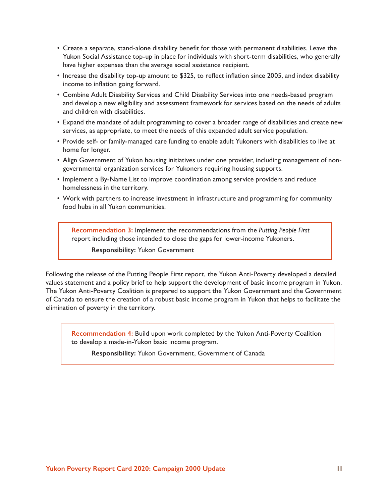- Create a separate, stand-alone disability benefit for those with permanent disabilities. Leave the Yukon Social Assistance top-up in place for individuals with short-term disabilities, who generally have higher expenses than the average social assistance recipient.
- Increase the disability top-up amount to \$325, to reflect inflation since 2005, and index disability income to inflation going forward.
- Combine Adult Disability Services and Child Disability Services into one needs-based program and develop a new eligibility and assessment framework for services based on the needs of adults and children with disabilities.
- Expand the mandate of adult programming to cover a broader range of disabilities and create new services, as appropriate, to meet the needs of this expanded adult service population.
- Provide self- or family-managed care funding to enable adult Yukoners with disabilities to live at home for longer.
- Align Government of Yukon housing initiatives under one provider, including management of nongovernmental organization services for Yukoners requiring housing supports.
- Implement a By-Name List to improve coordination among service providers and reduce homelessness in the territory.
- Work with partners to increase investment in infrastructure and programming for community food hubs in all Yukon communities.

**Recommendation 3:** Implement the recommendations from the *Putting People First* report including those intended to close the gaps for lower-income Yukoners.

**Responsibility:** Yukon Government

Following the release of the Putting People First report, the Yukon Anti-Poverty developed a detailed values statement and a policy brief to help support the development of basic income program in Yukon. The Yukon Anti-Poverty Coalition is prepared to support the Yukon Government and the Government of Canada to ensure the creation of a robust basic income program in Yukon that helps to facilitate the elimination of poverty in the territory.

**Recommendation 4:** Build upon work completed by the Yukon Anti-Poverty Coalition to develop a made-in-Yukon basic income program.

**Responsibility:** Yukon Government, Government of Canada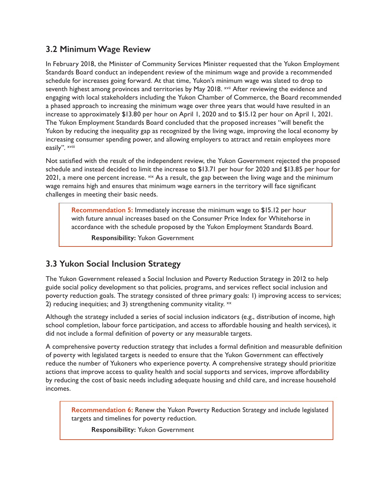#### **3.2 Minimum Wage Review**

In February 2018, the Minister of Community Services Minister requested that the Yukon Employment Standards Board conduct an independent review of the minimum wage and provide a recommended schedule for increases going forward. At that time, Yukon's minimum wage was slated to drop to seventh highest among provinces and territories by May 2018. Xvii After reviewing the evidence and engaging with local stakeholders including the Yukon Chamber of Commerce, the Board recommended a phased approach to increasing the minimum wage over three years that would have resulted in an increase to approximately \$13.80 per hour on April 1, 2020 and to \$15.12 per hour on April 1, 2021. The Yukon Employment Standards Board concluded that the proposed increases "will benefit the Yukon by reducing the inequality gap as recognized by the living wage, improving the local economy by increasing consumer spending power, and allowing employers to attract and retain employees more easily". xviii

Not satisfied with the result of the independent review, the Yukon Government rejected the proposed schedule and instead decided to limit the increase to \$13.71 per hour for 2020 and \$13.85 per hour for 2021, a mere one percent increase.  $x$ ix As a result, the gap between the living wage and the minimum wage remains high and ensures that minimum wage earners in the territory will face significant challenges in meeting their basic needs.

**Recommendation 5:** Immediately increase the minimum wage to \$15.12 per hour with future annual increases based on the Consumer Price Index for Whitehorse in accordance with the schedule proposed by the Yukon Employment Standards Board.

**Responsibility:** Yukon Government

#### **3.3 Yukon Social Inclusion Strategy**

The Yukon Government released a Social Inclusion and Poverty Reduction Strategy in 2012 to help guide social policy development so that policies, programs, and services reflect social inclusion and poverty reduction goals. The strategy consisted of three primary goals: 1) improving access to services; 2) reducing inequities; and 3) strengthening community vitality. xx

Although the strategy included a series of social inclusion indicators (e.g., distribution of income, high school completion, labour force participation, and access to affordable housing and health services), it did not include a formal definition of poverty or any measurable targets.

A comprehensive poverty reduction strategy that includes a formal definition and measurable definition of poverty with legislated targets is needed to ensure that the Yukon Government can effectively reduce the number of Yukoners who experience poverty. A comprehensive strategy should prioritize actions that improve access to quality health and social supports and services, improve affordability by reducing the cost of basic needs including adequate housing and child care, and increase household incomes.

**Recommendation 6:** Renew the Yukon Poverty Reduction Strategy and include legislated targets and timelines for poverty reduction.

**Responsibility:** Yukon Government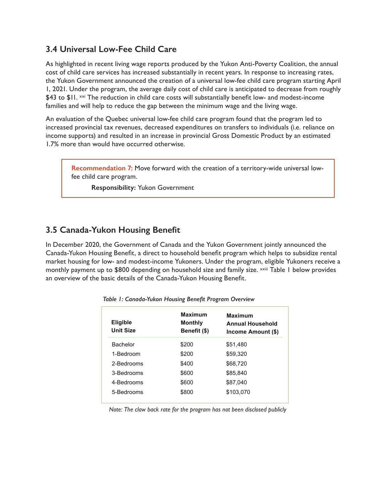#### **3.4 Universal Low-Fee Child Care**

As highlighted in recent living wage reports produced by the Yukon Anti-Poverty Coalition, the annual cost of child care services has increased substantially in recent years. In response to increasing rates, the Yukon Government announced the creation of a universal low-fee child care program starting April 1, 2021. Under the program, the average daily cost of child care is anticipated to decrease from roughly \$43 to \$11. xxi The reduction in child care costs will substantially benefit low- and modest-income families and will help to reduce the gap between the minimum wage and the living wage.

An evaluation of the Quebec universal low-fee child care program found that the program led to increased provincial tax revenues, decreased expenditures on transfers to individuals (i.e. reliance on income supports) and resulted in an increase in provincial Gross Domestic Product by an estimated 1.7% more than would have occurred otherwise.

**Recommendation 7:** Move forward with the creation of a territory-wide universal lowfee child care program.

**Responsibility:** Yukon Government

#### **3.5 Canada-Yukon Housing Benefit**

In December 2020, the Government of Canada and the Yukon Government jointly announced the Canada-Yukon Housing Benefit, a direct to household benefit program which helps to subsidize rental market housing for low- and modest-income Yukoners. Under the program, eligible Yukoners receive a monthly payment up to \$800 depending on household size and family size. **xxiii** Table 1 below provides an overview of the basic details of the Canada-Yukon Housing Benefit.

| <b>Eligible</b><br><b>Unit Size</b> | <b>Maximum</b><br><b>Monthly</b><br>Benefit (\$) | <b>Maximum</b><br><b>Annual Household</b><br>Income Amount (\$) |
|-------------------------------------|--------------------------------------------------|-----------------------------------------------------------------|
| <b>Bachelor</b>                     | \$200                                            | \$51,480                                                        |
| 1-Bedroom                           | \$200                                            | \$59,320                                                        |
| 2-Bedrooms                          | \$400                                            | \$68,720                                                        |
| 3-Bedrooms                          | \$600                                            | \$85.840                                                        |
| 4-Bedrooms                          | \$600                                            | \$87.040                                                        |
| 5-Bedrooms                          | \$800                                            | \$103,070                                                       |
|                                     |                                                  |                                                                 |

*Table 1: Canada-Yukon Housing Benefit Program Overview*

*Note: The claw back rate for the program has not been disclosed publicly*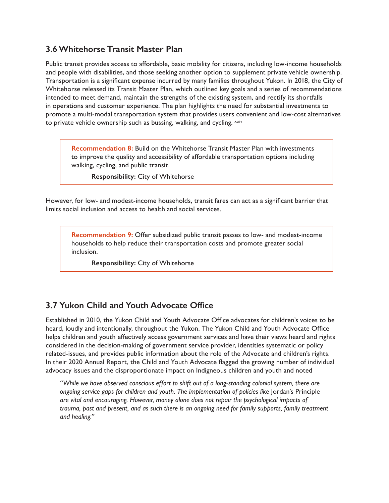#### **3.6 Whitehorse Transit Master Plan**

Public transit provides access to affordable, basic mobility for citizens, including low-income households and people with disabilities, and those seeking another option to supplement private vehicle ownership. Transportation is a significant expense incurred by many families throughout Yukon. In 2018, the City of Whitehorse released its Transit Master Plan, which outlined key goals and a series of recommendations intended to meet demand, maintain the strengths of the existing system, and rectify its shortfalls in operations and customer experience. The plan highlights the need for substantial investments to promote a multi-modal transportation system that provides users convenient and low-cost alternatives to private vehicle ownership such as bussing, walking, and cycling. xxiv

**Recommendation 8:** Build on the Whitehorse Transit Master Plan with investments to improve the quality and accessibility of affordable transportation options including walking, cycling, and public transit.

**Responsibility:** City of Whitehorse

However, for low- and modest-income households, transit fares can act as a significant barrier that limits social inclusion and access to health and social services.

**Recommendation 9:** Offer subsidized public transit passes to low- and modest-income households to help reduce their transportation costs and promote greater social inclusion.

**Responsibility:** City of Whitehorse

#### **3.7 Yukon Child and Youth Advocate Office**

Established in 2010, the Yukon Child and Youth Advocate Office advocates for children's voices to be heard, loudly and intentionally, throughout the Yukon. The Yukon Child and Youth Advocate Office helps children and youth effectively access government services and have their views heard and rights considered in the decision-making of government service provider, identities systematic or policy related-issues, and provides public information about the role of the Advocate and children's rights. In their 2020 Annual Report, the Child and Youth Advocate flagged the growing number of individual advocacy issues and the disproportionate impact on Indigneous children and youth and noted

*"While we have observed conscious effort to shift out of a long-standing colonial system, there are ongoing service gaps for children and youth. The implementation of policies like* Jordan's Principle *are vital and encouraging. However, money alone does not repair the psychological impacts of trauma, past and present, and as such there is an ongoing need for family supports, family treatment and healing."*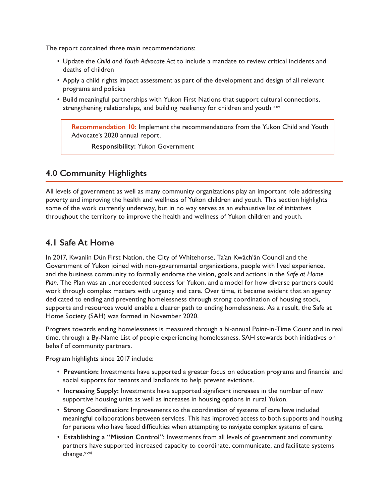The report contained three main recommendations:

- Update the *Child and Youth Advocate Act* to include a mandate to review critical incidents and deaths of children
- Apply a child rights impact assessment as part of the development and design of all relevant programs and policies
- Build meaningful partnerships with Yukon First Nations that support cultural connections, strengthening relationships, and building resiliency for children and youth xxv

**Recommendation 10:** Implement the recommendations from the Yukon Child and Youth Advocate's 2020 annual report.

**Responsibility:** Yukon Government

#### **4.0 Community Highlights**

All levels of government as well as many community organizations play an important role addressing poverty and improving the health and wellness of Yukon children and youth. This section highlights some of the work currently underway, but in no way serves as an exhaustive list of initiatives throughout the territory to improve the health and wellness of Yukon children and youth.

#### **4.1 Safe At Home**

In 2017, Kwanlin Dün First Nation, the City of Whitehorse, Ta'an Kwäch'än Council and the Government of Yukon joined with non-governmental organizations, people with lived experience, and the business community to formally endorse the vision, goals and actions in the *Safe at Home Plan*. The Plan was an unprecedented success for Yukon, and a model for how diverse partners could work through complex matters with urgency and care. Over time, it became evident that an agency dedicated to ending and preventing homelessness through strong coordination of housing stock, supports and resources would enable a clearer path to ending homelessness. As a result, the Safe at Home Society (SAH) was formed in November 2020.

Progress towards ending homelessness is measured through a bi-annual Point-in-Time Count and in real time, through a By-Name List of people experiencing homelessness. SAH stewards both initiatives on behalf of community partners.

Program highlights since 2017 include:

- **Prevention:** Investments have supported a greater focus on education programs and financial and social supports for tenants and landlords to help prevent evictions.
- **Increasing Supply:** Investments have supported significant increases in the number of new supportive housing units as well as increases in housing options in rural Yukon.
- **Strong Coordination:** Improvements to the coordination of systems of care have included meaningful collaborations between services. This has improved access to both supports and housing for persons who have faced difficulties when attempting to navigate complex systems of care.
- **Establishing a "Mission Control":** Investments from all levels of government and community partners have supported increased capacity to coordinate, communicate, and facilitate systems change.<sup>xxvi</sup>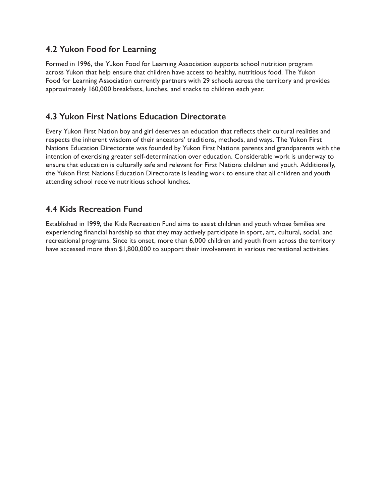#### **4.2 Yukon Food for Learning**

Formed in 1996, the Yukon Food for Learning Association supports school nutrition program across Yukon that help ensure that children have access to healthy, nutritious food. The Yukon Food for Learning Association currently partners with 29 schools across the territory and provides approximately 160,000 breakfasts, lunches, and snacks to children each year.

#### **4.3 Yukon First Nations Education Directorate**

Every Yukon First Nation boy and girl deserves an education that reflects their cultural realities and respects the inherent wisdom of their ancestors' traditions, methods, and ways. The Yukon First Nations Education Directorate was founded by Yukon First Nations parents and grandparents with the intention of exercising greater self-determination over education. Considerable work is underway to ensure that education is culturally safe and relevant for First Nations children and youth. Additionally, the Yukon First Nations Education Directorate is leading work to ensure that all children and youth attending school receive nutritious school lunches.

#### **4.4 Kids Recreation Fund**

Established in 1999, the Kids Recreation Fund aims to assist children and youth whose families are experiencing financial hardship so that they may actively participate in sport, art, cultural, social, and recreational programs. Since its onset, more than 6,000 children and youth from across the territory have accessed more than \$1,800,000 to support their involvement in various recreational activities.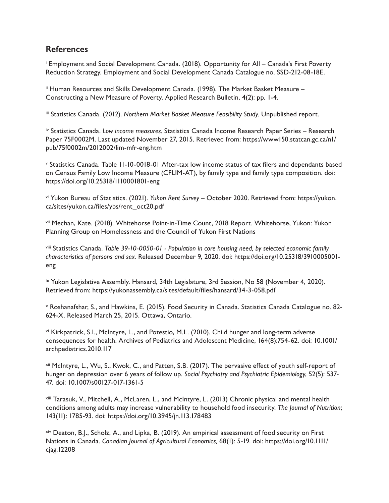#### **References**

i Employment and Social Development Canada. (2018). Opportunity for All – Canada's First Poverty Reduction Strategy. Employment and Social Development Canada Catalogue no. SSD-212-08-18E.

ii Human Resources and Skills Development Canada. (1998). The Market Basket Measure – Constructing a New Measure of Poverty. Applied Research Bulletin, 4(2): pp. 1-4.

iii Statistics Canada. (2012). *Northern Market Basket Measure Feasibility Study.* Unpublished report.

iv Statistics Canada. *Low income measures.* Statistics Canada Income Research Paper Series – Research Paper 75F0002M. Last updated November 27, 2015. Retrieved from: https://www150.statcan.gc.ca/n1/ pub/75f0002m/2012002/lim-mfr-eng.htm

<sup>v</sup> Statistics Canada. Table 11-10-0018-01 After-tax low income status of tax filers and dependants based on Census Family Low Income Measure (CFLIM-AT), by family type and family type composition. doi: https://doi.org/10.25318/1110001801-eng

vi Yukon Bureau of Statistics. (2021). *Yukon Rent Survey* – October 2020. Retrieved from: https://yukon. ca/sites/yukon.ca/files/ybs/rent\_oct20.pdf

vii Mechan, Kate. (2018). Whitehorse Point-in-Time Count, 2018 Report. Whitehorse, Yukon: Yukon Planning Group on Homelessness and the Council of Yukon First Nations

viii Statistics Canada. *Table 39-10-0050-01 - Population in core housing need, by selected economic family characteristics of persons and sex.* Released December 9, 2020. doi: https://doi.org/10.25318/3910005001 eng

ix Yukon Legislative Assembly. Hansard, 34th Legislature, 3rd Session, No 58 (November 4, 2020). Retrieved from: https://yukonassembly.ca/sites/default/files/hansard/34-3-058.pdf

x Roshanafshar, S., and Hawkins, E. (2015). Food Security in Canada. Statistics Canada Catalogue no. 82- 624-X. Released March 25, 2015. Ottawa, Ontario.

xi Kirkpatrick, S.I., McIntyre, L., and Potestio, M.L. (2010). Child hunger and long-term adverse consequences for health. Archives of Pediatrics and Adolescent Medicine, 164(8):754-62. doi: 10.1001/ archpediatrics.2010.117

xii McIntyre, L., Wu, S., Kwok, C., and Patten, S.B. (2017). The pervasive effect of youth self-report of hunger on depression over 6 years of follow up. *Social Psychiatry and Psychiatric Epidemiology*, 52(5): 537- 47. doi: 10.1007/s00127-017-1361-5

xiii Tarasuk, V., Mitchell, A., McLaren, L., and McIntyre, L. (2013) Chronic physical and mental health conditions among adults may increase vulnerability to household food insecurity. *The Journal of Nutrition*; 143(11): 1785-93. doi: https://doi.org/10.3945/jn.113.178483

xiv Deaton, B.J., Scholz, A., and Lipka, B. (2019). An empirical assessment of food security on First Nations in Canada. *Canadian Journal of Agricultural Economics,* 68(1): 5-19. doi: https://doi.org/10.1111/ cjag.12208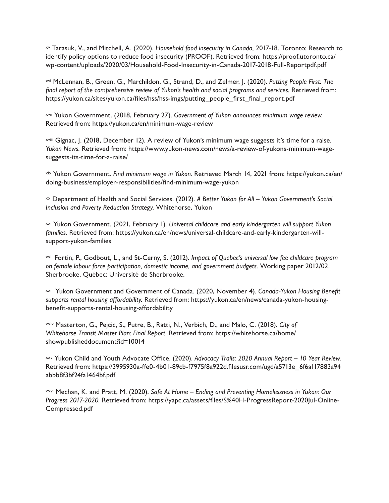xv Tarasuk, V., and Mitchell, A. (2020). *Household food insecurity in Canada,* 2017-18. Toronto: Research to identify policy options to reduce food insecurity (PROOF). Retrieved from: https://proof.utoronto.ca/ wp-content/uploads/2020/03/Household-Food-Insecurity-in-Canada-2017-2018-Full-Reportpdf.pdf

xvi McLennan, B., Green, G., Marchildon, G., Strand, D., and Zelmer, J. (2020). *Putting People First: The final report of the comprehensive review of Yukon's health and social programs and services.* Retrieved from: https://yukon.ca/sites/yukon.ca/files/hss/hss-imgs/putting\_people\_first\_final\_report.pdf

xvii Yukon Government. (2018, February 27). *Government of Yukon announces minimum wage review.*  Retrieved from: https://yukon.ca/en/minimum-wage-review

xviii Gignac, J. (2018, December 12). A review of Yukon's minimum wage suggests it's time for a raise. *Yukon News.* Retrieved from: https://www.yukon-news.com/news/a-review-of-yukons-minimum-wagesuggests-its-time-for-a-raise/

xix Yukon Government. *Find minimum wage in Yukon.* Retrieved March 14, 2021 from: https://yukon.ca/en/ doing-business/employer-responsibilities/find-minimum-wage-yukon

xx Department of Health and Social Services. (2012). *A Better Yukon for All – Yukon Government's Social Inclusion and Poverty Reduction Strategy.* Whitehorse, Yukon

xxi Yukon Government. (2021, February 1). *Universal childcare and early kindergarten will support Yukon families.* Retrieved from: https://yukon.ca/en/news/universal-childcare-and-early-kindergarten-willsupport-yukon-families

xxii Fortin, P., Godbout, L., and St-Cerny, S. (2012)*. Impact of Quebec's universal low fee childcare program on female labour force participation, domestic income, and government budgets.* Working paper 2012/02. Sherbrooke, Québec: Université de Sherbrooke.

xxiii Yukon Government and Government of Canada. (2020, November 4). *Canada-Yukon Housing Benefit supports rental housing affordability.* Retrieved from: https://yukon.ca/en/news/canada-yukon-housingbenefit-supports-rental-housing-affordability

xxiv Masterton, G., Pejcic, S., Putre, B., Ratti, N., Verbich, D., and Malo, C. (2018). *City of Whitehorse Transit Master Plan: Final Report.* Retrieved from: https://whitehorse.ca/home/ showpublisheddocument?id=10014

xxv Yukon Child and Youth Advocate Office. (2020). *Advocacy Trails: 2020 Annual Report – 10 Year Review.* Retrieved from: https://3995930a-ffe0-4b01-89cb-f7975f8a922d.filesusr.com/ugd/a5713e 6f6a117883a94 abbb8f3bf24fa1464bf.pdf

xxvi Mechan, K. and Pratt, M. (2020). *Safe At Home – Ending and Preventing Homelessness in Yukon: Our Progress 2017-2020.* Retrieved from: https://yapc.ca/assets/files/S%40H-ProgressReport-2020Jul-Online-Compressed.pdf